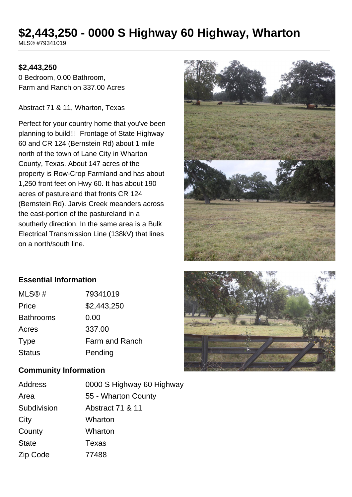# **\$2,443,250 - 0000 S Highway 60 Highway, Wharton**

MLS® #79341019

# **\$2,443,250**

0 Bedroom, 0.00 Bathroom, Farm and Ranch on 337.00 Acres

Abstract 71 & 11, Wharton, Texas

Perfect for your country home that you've been planning to build!!! Frontage of State Highway 60 and CR 124 (Bernstein Rd) about 1 mile north of the town of Lane City in Wharton County, Texas. About 147 acres of the property is Row-Crop Farmland and has about 1,250 front feet on Hwy 60. It has about 190 acres of pastureland that fronts CR 124 (Bernstein Rd). Jarvis Creek meanders across the east-portion of the pastureland in a southerly direction. In the same area is a Bulk Electrical Transmission Line (138kV) that lines on a north/south line.



#### **Essential Information**

| MLS@#            | 79341019       |
|------------------|----------------|
| Price            | \$2,443,250    |
| <b>Bathrooms</b> | 0.00           |
| Acres            | 337.00         |
| <b>Type</b>      | Farm and Ranch |
| <b>Status</b>    | Pending        |

#### **Community Information**

| <b>Address</b> | 0000 S Highway 60 Highway |
|----------------|---------------------------|
| Area           | 55 - Wharton County       |
| Subdivision    | Abstract 71 & 11          |
| City           | Wharton                   |
| County         | Wharton                   |
| <b>State</b>   | <b>Texas</b>              |
| Zip Code       | 77488                     |